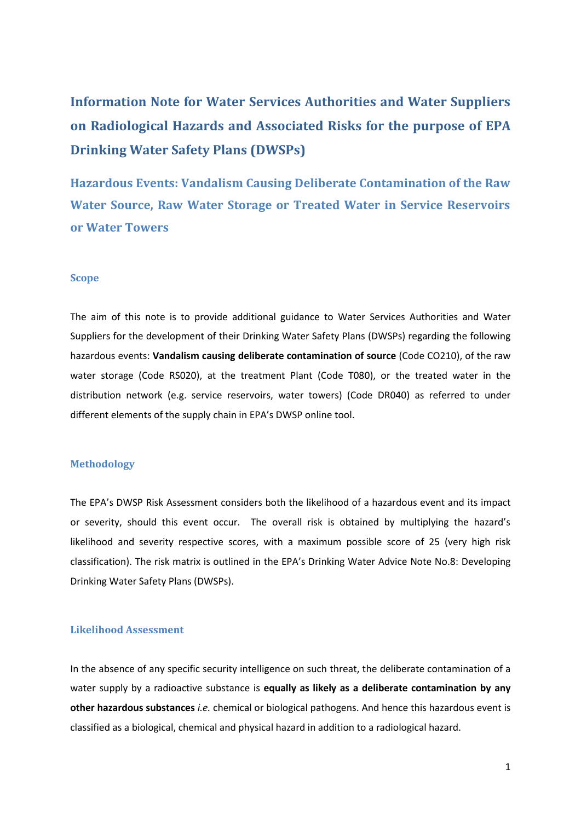**Information Note for Water Services Authorities and Water Suppliers on Radiological Hazards and Associated Risks for the purpose of EPA Drinking Water Safety Plans (DWSPs)**

**Hazardous Events: Vandalism Causing Deliberate Contamination of the Raw Water Source, Raw Water Storage or Treated Water in Service Reservoirs or Water Towers**

## **Scope**

The aim of this note is to provide additional guidance to Water Services Authorities and Water Suppliers for the development of their Drinking Water Safety Plans (DWSPs) regarding the following hazardous events: **Vandalism causing deliberate contamination of source** (Code CO210), of the raw water storage (Code RS020), at the treatment Plant (Code T080), or the treated water in the distribution network (e.g. service reservoirs, water towers) (Code DR040) as referred to under different elements of the supply chain in EPA's DWSP online tool.

## **Methodology**

The EPA's DWSP Risk Assessment considers both the likelihood of a hazardous event and its impact or severity, should this event occur. The overall risk is obtained by multiplying the hazard's likelihood and severity respective scores, with a maximum possible score of 25 (very high risk classification). The risk matrix is outlined in the EPA's Drinking Water Advice Note No.8: Developing Drinking Water Safety Plans (DWSPs).

## **Likelihood Assessment**

In the absence of any specific security intelligence on such threat, the deliberate contamination of a water supply by a radioactive substance is **equally as likely as a deliberate contamination by any other hazardous substances** *i.e.* chemical or biological pathogens. And hence this hazardous event is classified as a biological, chemical and physical hazard in addition to a radiological hazard.